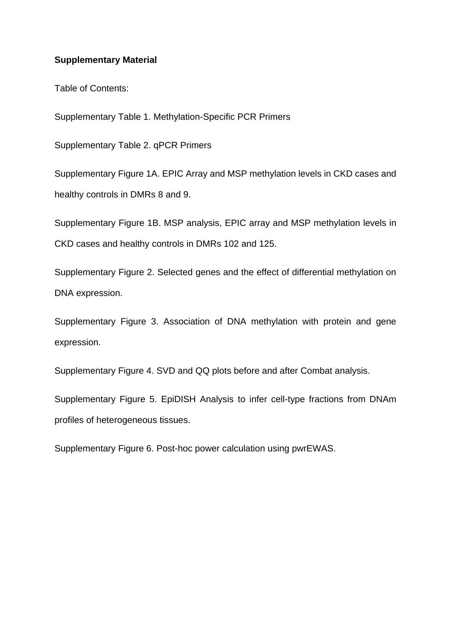## **Supplementary Material**

Table of Contents:

Supplementary Table 1. Methylation-Specific PCR Primers

Supplementary Table 2. qPCR Primers

Supplementary Figure 1A. EPIC Array and MSP methylation levels in CKD cases and healthy controls in DMRs 8 and 9.

Supplementary Figure 1B. MSP analysis, EPIC array and MSP methylation levels in CKD cases and healthy controls in DMRs 102 and 125.

Supplementary Figure 2. Selected genes and the effect of differential methylation on DNA expression.

Supplementary Figure 3. Association of DNA methylation with protein and gene expression.

Supplementary Figure 4. SVD and QQ plots before and after Combat analysis.

Supplementary Figure 5. EpiDISH Analysis to infer cell-type fractions from DNAm profiles of heterogeneous tissues.

Supplementary Figure 6. Post-hoc power calculation using pwrEWAS.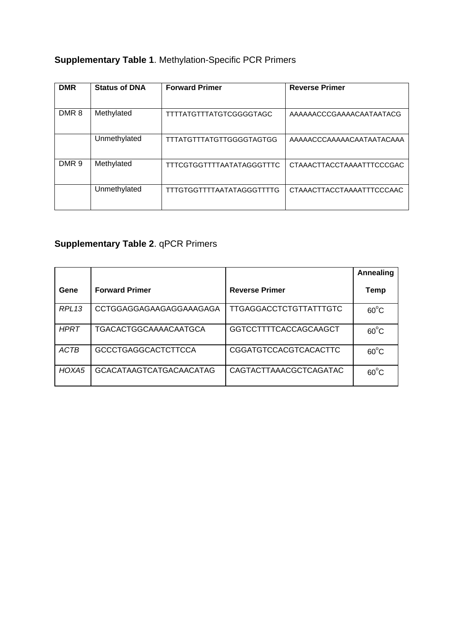## **Supplementary Table 1**. Methylation-Specific PCR Primers

| <b>DMR</b>       | <b>Status of DNA</b> | <b>Forward Primer</b>            | <b>Reverse Primer</b>     |
|------------------|----------------------|----------------------------------|---------------------------|
|                  |                      |                                  |                           |
| DMR <sub>8</sub> | Methylated           | <b>TTTTATGTTTATGTCGGGGTAGC</b>   | AAAAAACCCGAAAACAATAATACG  |
|                  |                      |                                  |                           |
|                  | Unmethylated         | <b>TTTATGTTTATGTTGGGGTAGTGG</b>  | AAAAACCCAAAAACAATAATACAAA |
|                  |                      |                                  |                           |
| DMR <sub>9</sub> | Methylated           | TTTCGTGGTTTTAATATAGGGTTTC        | CTAAACTTACCTAAAATTTCCCGAC |
|                  |                      |                                  |                           |
|                  | Unmethylated         | <b>TTTGTGGTTTTAATATAGGGTTTTG</b> | CTAAACTTACCTAAAATTTCCCAAC |
|                  |                      |                                  |                           |

## **Supplementary Table 2**. qPCR Primers

|             |                                |                              | Annealing      |
|-------------|--------------------------------|------------------------------|----------------|
| Gene        | <b>Forward Primer</b>          | <b>Reverse Primer</b>        | Temp           |
| RPL13       | CCTGGAGGAGAAGAGGAAAGAGA        | TTGAGGACCTCTGTTATTTGTC       | $60^{\circ}$ C |
| <b>HPRT</b> | <b>TGACACTGGCAAAACAATGCA</b>   | <b>GGTCCTTTTCACCAGCAAGCT</b> | $60^{\circ}$ C |
| ACTB        | <b>GCCCTGAGGCACTCTTCCA</b>     | <b>CGGATGTCCACGTCACACTTC</b> | $60^{\circ}$ C |
| HOXA5       | <b>GCACATAAGTCATGACAACATAG</b> | CAGTACTTAAACGCTCAGATAC       | $60^{\circ}$ C |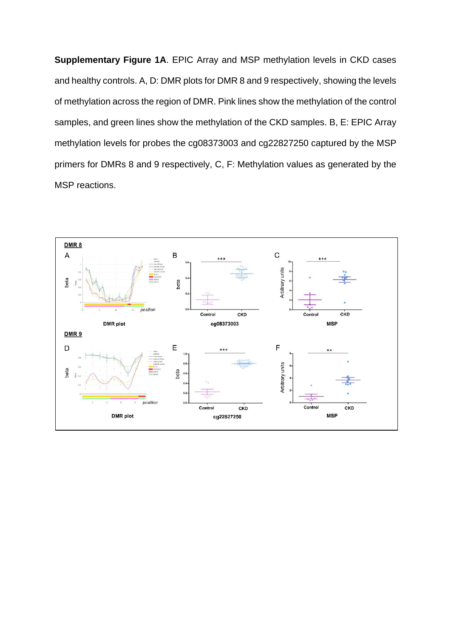**Supplementary Figure 1A**. EPIC Array and MSP methylation levels in CKD cases and healthy controls. A, D: DMR plots for DMR 8 and 9 respectively, showing the levels of methylation across the region of DMR. Pink lines show the methylation of the control samples, and green lines show the methylation of the CKD samples. B, E: EPIC Array methylation levels for probes the cg08373003 and cg22827250 captured by the MSP primers for DMRs 8 and 9 respectively, C, F: Methylation values as generated by the MSP reactions.

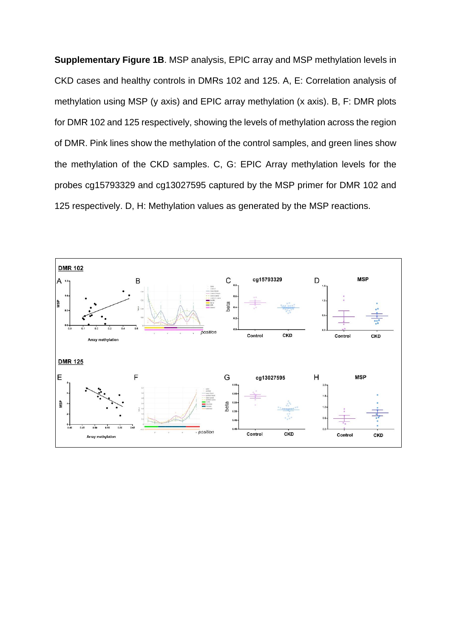**Supplementary Figure 1B**. MSP analysis, EPIC array and MSP methylation levels in CKD cases and healthy controls in DMRs 102 and 125. A, E: Correlation analysis of methylation using MSP (y axis) and EPIC array methylation (x axis). B, F: DMR plots for DMR 102 and 125 respectively, showing the levels of methylation across the region of DMR. Pink lines show the methylation of the control samples, and green lines show the methylation of the CKD samples. C, G: EPIC Array methylation levels for the probes cg15793329 and cg13027595 captured by the MSP primer for DMR 102 and 125 respectively. D, H: Methylation values as generated by the MSP reactions.

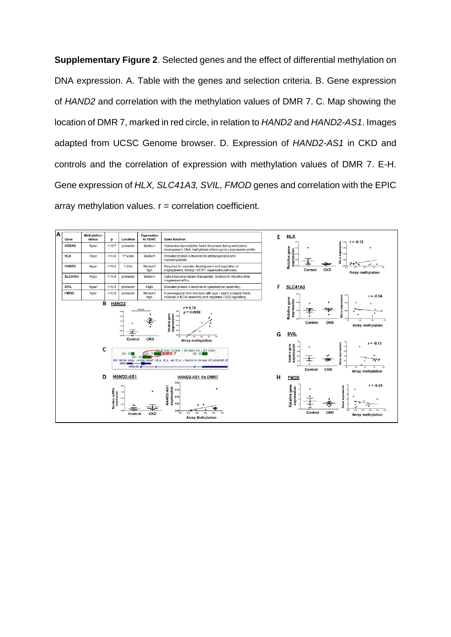**Supplementary Figure 2**. Selected genes and the effect of differential methylation on DNA expression. A. Table with the genes and selection criteria. B. Gene expression of *HAND2* and correlation with the methylation values of DMR 7. C. Map showing the location of DMR 7, marked in red circle, in relation to *HAND2* and *HAND2-AS1*. Images adapted from UCSC Genome browser. D. Expression of *HAND2-AS1* in CKD and controls and the correlation of expression with methylation values of DMR 7. E-H. Gene expression of *HLX, SLC41A3, SVIL, FMOD* genes and correlation with the EPIC array methylation values.  $r =$  correlation coefficient.

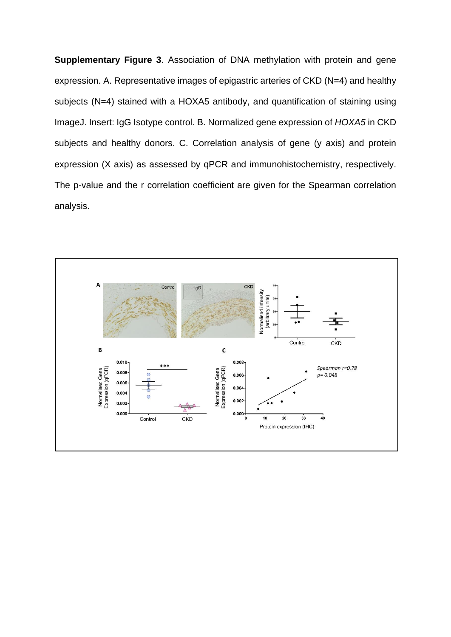**Supplementary Figure 3**. Association of DNA methylation with protein and gene expression. A. Representative images of epigastric arteries of CKD (N=4) and healthy subjects (N=4) stained with a HOXA5 antibody, and quantification of staining using ImageJ. Insert: IgG Isotype control. B. Normalized gene expression of *HOXA5* in CKD subjects and healthy donors. C. Correlation analysis of gene (y axis) and protein expression (X axis) as assessed by qPCR and immunohistochemistry, respectively. The p-value and the r correlation coefficient are given for the Spearman correlation analysis.

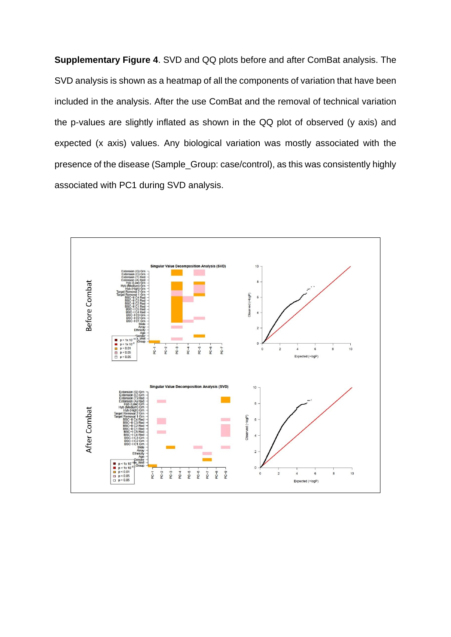**Supplementary Figure 4**. SVD and QQ plots before and after ComBat analysis. The SVD analysis is shown as a heatmap of all the components of variation that have been included in the analysis. After the use ComBat and the removal of technical variation the p-values are slightly inflated as shown in the QQ plot of observed (y axis) and expected (x axis) values. Any biological variation was mostly associated with the presence of the disease (Sample\_Group: case/control), as this was consistently highly associated with PC1 during SVD analysis.

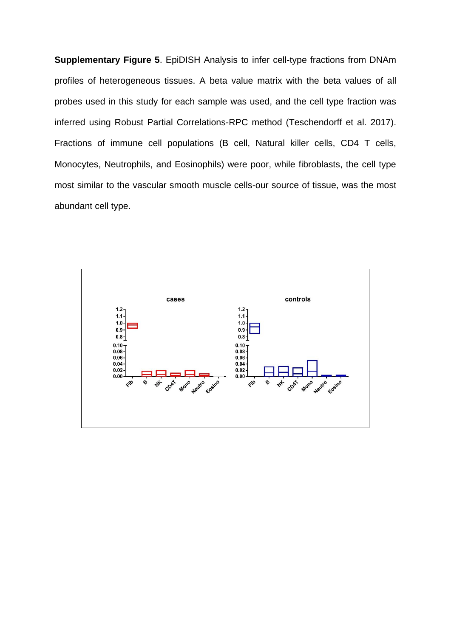**Supplementary Figure 5**. EpiDISH Analysis to infer cell-type fractions from DNAm profiles of heterogeneous tissues. A beta value matrix with the beta values of all probes used in this study for each sample was used, and the cell type fraction was inferred using Robust Partial Correlations-RPC method (Teschendorff et al. 2017). Fractions of immune cell populations (B cell, Natural killer cells, CD4 T cells, Monocytes, Neutrophils, and Eosinophils) were poor, while fibroblasts, the cell type most similar to the vascular smooth muscle cells-our source of tissue, was the most abundant cell type.